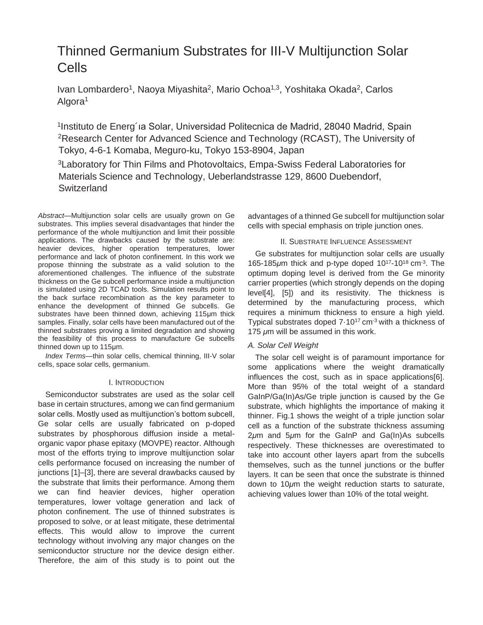# Thinned Germanium Substrates for III-V Multijunction Solar Cells

Ivan Lombardero<sup>1</sup>, Naoya Miyashita<sup>2</sup>, Mario Ochoa<sup>1,3</sup>, Yoshitaka Okada<sup>2</sup>, Carlos Algora<sup>1</sup>

<sup>1</sup>Instituto de Energ'ia Solar, Universidad Politecnica de Madrid, 28040 Madrid, Spain <sup>2</sup>Research Center for Advanced Science and Technology (RCAST), The University of Tokyo, 4-6-1 Komaba, Meguro-ku, Tokyo 153-8904, Japan

<sup>3</sup>Laboratory for Thin Films and Photovoltaics, Empa-Swiss Federal Laboratories for Materials Science and Technology, Ueberlandstrasse 129, 8600 Duebendorf, **Switzerland** 

*Abstract*—Multijunction solar cells are usually grown on Ge substrates. This implies several disadvantages that hinder the performance of the whole multijunction and limit their possible applications. The drawbacks caused by the substrate are: heavier devices, higher operation temperatures, lower performance and lack of photon confinement. In this work we propose thinning the substrate as a valid solution to the aforementioned challenges. The influence of the substrate thickness on the Ge subcell performance inside a multijunction is simulated using 2D TCAD tools. Simulation results point to the back surface recombination as the key parameter to enhance the development of thinned Ge subcells. Ge substrates have been thinned down, achieving 115μm thick samples. Finally, solar cells have been manufactured out of the thinned substrates proving a limited degradation and showing the feasibility of this process to manufacture Ge subcells thinned down up to 115μm.

*Index Terms*—thin solar cells, chemical thinning, III-V solar cells, space solar cells, germanium.

# I. INTRODUCTION

Semiconductor substrates are used as the solar cell base in certain structures, among we can find germanium solar cells. Mostly used as multijunction's bottom subcell, Ge solar cells are usually fabricated on p-doped substrates by phosphorous diffusion inside a metalorganic vapor phase epitaxy (MOVPE) reactor. Although most of the efforts trying to improve multijunction solar cells performance focused on increasing the number of junctions [1]–[3], there are several drawbacks caused by the substrate that limits their performance. Among them we can find heavier devices, higher operation temperatures, lower voltage generation and lack of photon confinement. The use of thinned substrates is proposed to solve, or at least mitigate, these detrimental effects. This would allow to improve the current technology without involving any major changes on the semiconductor structure nor the device design either. Therefore, the aim of this study is to point out the

advantages of a thinned Ge subcell for multijunction solar cells with special emphasis on triple junction ones.

# II. SUBSTRATE INFLUENCE ASSESSMENT

Ge substrates for multijunction solar cells are usually 165-185μm thick and p-type doped 10<sup>17</sup>-10<sup>18</sup> cm<sup>-3</sup>. The optimum doping level is derived from the Ge minority carrier properties (which strongly depends on the doping level[4], [5]) and its resistivity. The thickness is determined by the manufacturing process, which requires a minimum thickness to ensure a high yield. Typical substrates doped  $7.10^{17}$  cm<sup>-3</sup> with a thickness of 175 *μ*m will be assumed in this work.

# *A. Solar Cell Weight*

The solar cell weight is of paramount importance for some applications where the weight dramatically influences the cost, such as in space applications[6]. More than 95% of the total weight of a standard GaInP/Ga(In)As/Ge triple junction is caused by the Ge substrate, which highlights the importance of making it thinner. Fig.1 shows the weight of a triple junction solar cell as a function of the substrate thickness assuming 2*μ*m and 5*μ*m for the GaInP and Ga(In)As subcells respectively. These thicknesses are overestimated to take into account other layers apart from the subcells themselves, such as the tunnel junctions or the buffer layers. It can be seen that once the substrate is thinned down to 10*μ*m the weight reduction starts to saturate, achieving values lower than 10% of the total weight.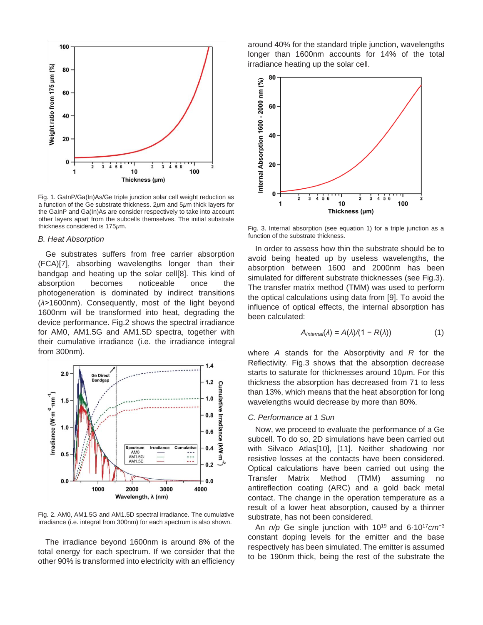

Fig. 1. GaInP/Ga(In)As/Ge triple junction solar cell weight reduction as a function of the Ge substrate thickness. 2*μ*m and 5*μ*m thick layers for the GaInP and Ga(In)As are consider respectively to take into account other layers apart from the subcells themselves. The initial substrate thickness considered is 175*μ*m.

#### *B. Heat Absorption*

Ge substrates suffers from free carrier absorption (FCA)[7], absorbing wavelengths longer than their bandgap and heating up the solar cell[8]. This kind of absorption becomes noticeable once the photogeneration is dominated by indirect transitions (*λ>*1600nm). Consequently, most of the light beyond 1600nm will be transformed into heat, degrading the device performance. Fig.2 shows the spectral irradiance for AM0, AM1.5G and AM1.5D spectra, together with their cumulative irradiance (i.e. the irradiance integral from 300nm).



Fig. 2. AM0, AM1.5G and AM1.5D spectral irradiance. The cumulative irradiance (i.e. integral from 300nm) for each spectrum is also shown.

The irradiance beyond 1600nm is around 8% of the total energy for each spectrum. If we consider that the other 90% is transformed into electricity with an efficiency around 40% for the standard triple junction, wavelengths longer than 1600nm accounts for 14% of the total irradiance heating up the solar cell.



Fig. 3. Internal absorption (see equation 1) for a triple junction as a function of the substrate thickness.

In order to assess how thin the substrate should be to avoid being heated up by useless wavelengths, the absorption between 1600 and 2000nm has been simulated for different substrate thicknesses (see Fig.3). The transfer matrix method (TMM) was used to perform the optical calculations using data from [9]. To avoid the influence of optical effects, the internal absorption has been calculated:

$$
A_{\text{Internal}}(\lambda) = A(\lambda)/(1 - R(\lambda)) \tag{1}
$$

where *A* stands for the Absorptivity and *R* for the Reflectivity. Fig.3 shows that the absorption decrease starts to saturate for thicknesses around 10*μ*m. For this thickness the absorption has decreased from 71 to less than 13%, which means that the heat absorption for long wavelengths would decrease by more than 80%.

## *C. Performance at 1 Sun*

Now, we proceed to evaluate the performance of a Ge subcell. To do so, 2D simulations have been carried out with Silvaco Atlas[10], [11]. Neither shadowing nor resistive losses at the contacts have been considered. Optical calculations have been carried out using the Transfer Matrix Method (TMM) assuming no antireflection coating (ARC) and a gold back metal contact. The change in the operation temperature as a result of a lower heat absorption, caused by a thinner substrate, has not been considered.

An *n/p* Ge single junction with 10<sup>19</sup> and 6·10<sup>17</sup>*cm*<sup>−3</sup> constant doping levels for the emitter and the base respectively has been simulated. The emitter is assumed to be 190nm thick, being the rest of the substrate the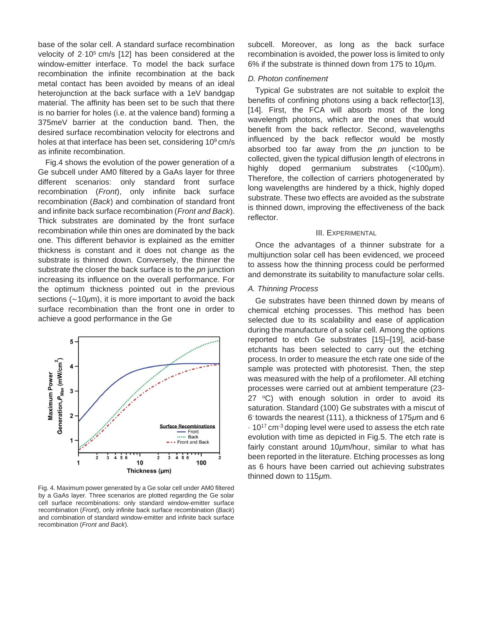base of the solar cell. A standard surface recombination velocity of  $2.10<sup>5</sup>$  cm/s [12] has been considered at the window-emitter interface. To model the back surface recombination the infinite recombination at the back metal contact has been avoided by means of an ideal heterojunction at the back surface with a 1eV bandgap material. The affinity has been set to be such that there is no barrier for holes (i.e. at the valence band) forming a 375meV barrier at the conduction band. Then, the desired surface recombination velocity for electrons and holes at that interface has been set, considering  $10<sup>9</sup>$  cm/s as infinite recombination.

Fig.4 shows the evolution of the power generation of a Ge subcell under AM0 filtered by a GaAs layer for three different scenarios: only standard front surface recombination (*Front*), only infinite back surface recombination (*Back*) and combination of standard front and infinite back surface recombination (*Front and Back*). Thick substrates are dominated by the front surface recombination while thin ones are dominated by the back one. This different behavior is explained as the emitter thickness is constant and it does not change as the substrate is thinned down. Conversely, the thinner the substrate the closer the back surface is to the *pn* junction increasing its influence on the overall performance. For the optimum thickness pointed out in the previous sections (∼10*μ*m), it is more important to avoid the back surface recombination than the front one in order to achieve a good performance in the Ge



Fig. 4. Maximum power generated by a Ge solar cell under AM0 filtered by a GaAs layer. Three scenarios are plotted regarding the Ge solar cell surface recombinations: only standard window-emitter surface recombination (*Front*), only infinite back surface recombination (*Back*) and combination of standard window-emitter and infinite back surface recombination (*Front and Back*).

subcell. Moreover, as long as the back surface recombination is avoided, the power loss is limited to only 6% if the substrate is thinned down from 175 to 10*μ*m.

## *D. Photon confinement*

Typical Ge substrates are not suitable to exploit the benefits of confining photons using a back reflector[13], [14]. First, the FCA will absorb most of the long wavelength photons, which are the ones that would benefit from the back reflector. Second, wavelengths influenced by the back reflector would be mostly absorbed too far away from the *pn* junction to be collected, given the typical diffusion length of electrons in highly doped germanium substrates (*<*100*μ*m). Therefore, the collection of carriers photogenerated by long wavelengths are hindered by a thick, highly doped substrate. These two effects are avoided as the substrate is thinned down, improving the effectiveness of the back reflector.

#### III. EXPERIMENTAL

Once the advantages of a thinner substrate for a multijunction solar cell has been evidenced, we proceed to assess how the thinning process could be performed and demonstrate its suitability to manufacture solar cells.

#### *A. Thinning Process*

Ge substrates have been thinned down by means of chemical etching processes. This method has been selected due to its scalability and ease of application during the manufacture of a solar cell. Among the options reported to etch Ge substrates [15]–[19], acid-base etchants has been selected to carry out the etching process. In order to measure the etch rate one side of the sample was protected with photoresist. Then, the step was measured with the help of a profilometer. All etching processes were carried out at ambient temperature (23- 27  $\degree$ C) with enough solution in order to avoid its saturation. Standard (100) Ge substrates with a miscut of 6 ◦ towards the nearest (111), a thickness of 175*μ*m and 6  $\cdot$  10<sup>17</sup> cm<sup>-3</sup> doping level were used to assess the etch rate evolution with time as depicted in Fig.5. The etch rate is fairly constant around 10*μ*m/hour, similar to what has been reported in the literature. Etching processes as long as 6 hours have been carried out achieving substrates thinned down to 115*μ*m.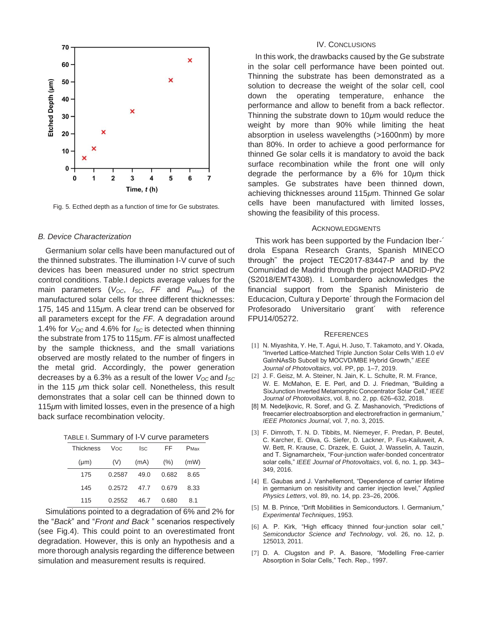

Fig. 5. Ecthed depth as a function of time for Ge substrates.

## *B. Device Characterization*

Germanium solar cells have been manufactured out of the thinned substrates. The illumination I-V curve of such devices has been measured under no strict spectrum control conditions. Table.I depicts average values for the main parameters (*VOC*, *ISC*, *FF* and *PMax*) of the manufactured solar cells for three different thicknesses: 175, 145 and 115*μ*m. A clear trend can be observed for all parameters except for the *FF*. A degradation around 1.4% for *VOC* and 4.6% for *ISC* is detected when thinning the substrate from 175 to 115*μ*m. *FF* is almost unaffected by the sample thickness, and the small variations observed are mostly related to the number of fingers in the metal grid. Accordingly, the power generation decreases by a 6.3% as a result of the lower *VOC* and *ISC*  in the 115 *μ*m thick solar cell. Nonetheless, this result demonstrates that a solar cell can be thinned down to 115*μ*m with limited losses, even in the presence of a high back surface recombination velocity.

| TABLE I. Summary of I-V curve parameters |  |  |  |
|------------------------------------------|--|--|--|
|------------------------------------------|--|--|--|

| <b>Thickness</b> | Voc.   | <b>Isc</b> | FF    | PMax |
|------------------|--------|------------|-------|------|
| $(\mu m)$        | (V)    | (mA)       | (%)   | (mW) |
| 175              | 0.2587 | 49.0       | 0.682 | 8.65 |
| 145              | 0.2572 | 47.7       | 0.679 | 8.33 |
| 115              | 0.2552 | 46.7       | 0.680 | 8.1  |

Simulations pointed to a degradation of 6% and 2% for the "*Back*" and "*Front and Back* " scenarios respectively (see Fig.4). This could point to an overestimated front degradation. However, this is only an hypothesis and a more thorough analysis regarding the difference between simulation and measurement results is required.

## IV. CONCLUSIONS

In this work, the drawbacks caused by the Ge substrate in the solar cell performance have been pointed out. Thinning the substrate has been demonstrated as a solution to decrease the weight of the solar cell, cool down the operating temperature, enhance the performance and allow to benefit from a back reflector. Thinning the substrate down to 10*μ*m would reduce the weight by more than 90% while limiting the heat absorption in useless wavelengths (*>*1600nm) by more than 80%. In order to achieve a good performance for thinned Ge solar cells it is mandatory to avoid the back surface recombination while the front one will only degrade the performance by a 6% for 10*μ*m thick samples. Ge substrates have been thinned down, achieving thicknesses around 115*μ*m. Thinned Ge solar cells have been manufactured with limited losses, showing the feasibility of this process.

#### ACKNOWLEDGMENTS

This work has been supported by the Fundacion Iber-´ drola Espana Research Grants, Spanish MINECO through˜ the project TEC2017-83447-P and by the Comunidad de Madrid through the project MADRID-PV2 (S2018/EMT4308). I. Lombardero acknowledges the financial support from the Spanish Ministerio de Educacion, Cultura y Deporte´ through the Formacion del Profesorado Universitario grant´ with reference FPU14/05272.

#### **REFERENCES**

- [1] N. Miyashita, Y. He, T. Agui, H. Juso, T. Takamoto, and Y. Okada, "Inverted Lattice-Matched Triple Junction Solar Cells With 1.0 eV GaInNAsSb Subcell by MOCVD/MBE Hybrid Growth," *IEEE Journal of Photovoltaics*, vol. PP, pp. 1–7, 2019.
- [2] J. F. Geisz, M. A. Steiner, N. Jain, K. L. Schulte, R. M. France, W. E. McMahon, E. E. Perl, and D. J. Friedman, "Building a SixJunction Inverted Metamorphic Concentrator Solar Cell," *IEEE Journal of Photovoltaics*, vol. 8, no. 2, pp. 626–632, 2018.
- [8] M. Nedeljkovic, R. Soref, and G. Z. Mashanovich, "Predictions of freecarrier electroabsorption and electrorefraction in germanium," *IEEE Photonics Journal*, vol. 7, no. 3, 2015.
- [3] F. Dimroth, T. N. D. Tibbits, M. Niemeyer, F. Predan, P. Beutel, C. Karcher, E. Oliva, G. Siefer, D. Lackner, P. Fus-Kailuweit, A. W. Bett, R. Krause, C. Drazek, E. Guiot, J. Wasselin, A. Tauzin, and T. Signamarcheix, "Four-junction wafer-bonded concentrator solar cells," *IEEE Journal of Photovoltaics*, vol. 6, no. 1, pp. 343– 349, 2016.
- [4] E. Gaubas and J. Vanhellemont, "Dependence of carrier lifetime in germanium on resisitivity and carrier injection level," *Applied Physics Letters*, vol. 89, no. 14, pp. 23–26, 2006.
- [5] M. B. Prince, "Drift Mobilities in Semiconductors. I. Germanium," *Experimental Techniques*, 1953.
- [6] A. P. Kirk, "High efficacy thinned four-junction solar cell," *Semiconductor Science and Technology*, vol. 26, no. 12, p. 125013, 2011.
- [7] D. A. Clugston and P. A. Basore, "Modelling Free-carrier Absorption in Solar Cells," Tech. Rep., 1997.